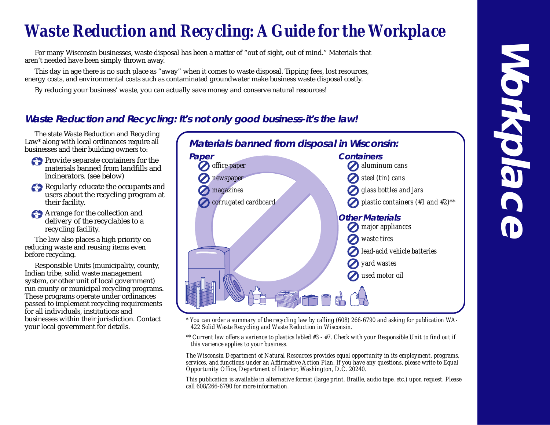# *Waste Reduction and Recycling: A Guide for the Workplace*

For many Wisconsin businesses, waste disposal has been a matter of "out of sight, out of mind." Materials that aren't needed have been simply thrown away.

This day in age there is no such place as "away" when it comes to waste disposal. Tipping fees, lost resources, energy costs, and environmental costs such as contaminated groundwater make business waste disposal costly.

By reducing your business' waste, you can actually save money and conserve natural resources!

## **Waste Reduction and Recycling: It's not only good business-it's the law!**

The state Waste Reduction and Recycling Law<sup>\*</sup> along with local ordinances require all businesses and their building owners to:

- Provide separate containers for the materials banned from landfills and incinerators. (see below)
- Regularly educate the occupants and users about the recycling program at their facility.
- Arrange for the collection and delivery of the recyclables to a recycling facility.

The law also places a high priority on reducing waste and reusing items even before recycling.

Responsible Units (municipality, county, Indian tribe, solid waste management system, or other unit of local government) run county or municipal recycling programs. These programs operate under ordinances passed to implement recycling requirements for all individuals, institutions and businesses within their jurisdiction. Contact your local government for details.



- *\* You can order a summary of the recycling law by calling (608) 266-6790 and asking for publication WA-422 Solid Waste Recycling and Waste Reduction in Wisconsin.*
- *\*\* Current law offers a varience to plastics labled #3 #7. Check with your Responsible Unit to find out if this varience applies to your business.*

*The Wisconsin Department of Natural Resources provides equal opportunity in its employment, programs, services, and functions under an Affirmative Action Plan. If you have any questions, please write to Equal Opportunity Office, Department of Interior, Washington, D.C. 20240.*

*This publication is available in alternative format (large print, Braille, audio tape. etc.) upon request. Please call 608/266-6790 for more information.*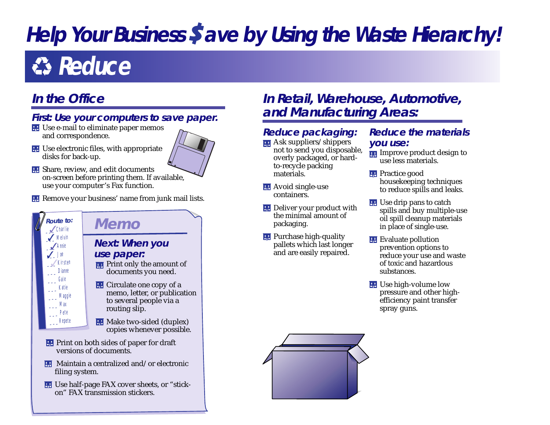# **Help Your Business Save by Using the Waste Hierarchy!**

# **Reduce**

## **In the Office**

## **First: Use your computers to save paper.**

- **EE** Use e-mail to eliminate paper memos and correspondence.
- **EE** Use electronic files, with appropriate disks for back-up.
- **H** Share, review, and edit documents on-screen before printing them. If available, use your computer's Fax function.
- **H** Remove your business' name from junk mail lists.



# Route to: **Memo**

#### **Next: When you use paper:**

- **Print only the amount of** documents you need.
- **EXECUTE:** Circulate one copy of a memo, letter, or publication to several people via a routing slip.
- **H** Make two-sided (duplex) copies whenever possible.
- **Print on both sides of paper for draft** versions of documents.
- **H** Maintain a centralized and/or electronic filing system.
- Use half-page FAX cover sheets, or "stickon" FAX transmission stickers.

## **In Retail, Warehouse, Automotive, and Manufacturing Areas:**

- **Reduce packaging:**
- **H** Ask suppliers/shippers not to send you disposable, overly packaged, or hardto-recycle packing materials.
- **H** Avoid single-use containers.
- **EXECUTE:** Deliver your product with the minimal amount of packaging.
- **Purchase high-quality** pallets which last longer and are easily repaired.

## **Reduce the materials you use:**

- **Ex** Improve product design to use less materials.
- **R** Practice good housekeeping techniques to reduce spills and leaks.
- **EE** Use drip pans to catch spills and buy multiple-use oil spill cleanup materials in place of single-use.
- **Example 1** Evaluate pollution prevention options to reduce your use and waste of toxic and hazardous substances.
- **围** Use high-volume low pressure and other highefficiency paint transfer spray guns.

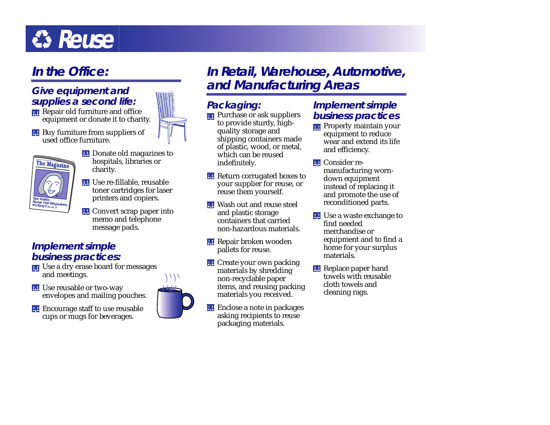# $\bullet$ **Reuse**

## **In the Office:**

## **Give equipment and supplies a second life:**

- Repair old furniture and office equipment or donate it to charity.
- **Buy furniture from suppliers of** used office furniture.



- **EXECUTE:** Donate old magazines to hospitals, libraries or charity.
- Use re-fillable, reusable toner cartridges for laser printers and copiers.
- **EXECONDER** Convert scrap paper into memo and telephone message pads.

## **Implement simple business practices:**

- Use a dry erase board for messages and meetings.
- **H** Use reusable or two-way envelopes and mailing pouches.



**Example 1** Encourage staff to use reusable cups or mugs for beverages.



## **Packaging:**

**Purchase or ask suppliers** to provide sturdy, highquality storage and shipping containers made of plastic, wood, or metal, which can be reused indefinitely.

**Return corrugated boxes to** your supplier for reuse, or reuse them yourself.

- **H** Wash out and reuse steel and plastic storage containers that carried non-hazardous materials.
- **H** Repair broken wooden pallets for reuse.
- **EXECT** Create your own packing materials by shredding non-recyclable paper items, and reusing packing materials you received.
- 品 Enclose a note in packages asking recipients to reuse packaging materials.

## **Implement simple business practices**

- **Properly maintain your** equipment to reduce wear and extend its life and efficiency.
- **HE** Consider remanufacturing worndown equipment instead of replacing it and promote the use of reconditioned parts.
- **H** Use a waste exchange to find needed merchandise or equipment and to find a home for your surplus materials.
- **Replace paper hand** towels with reusable cloth towels and cleaning rags.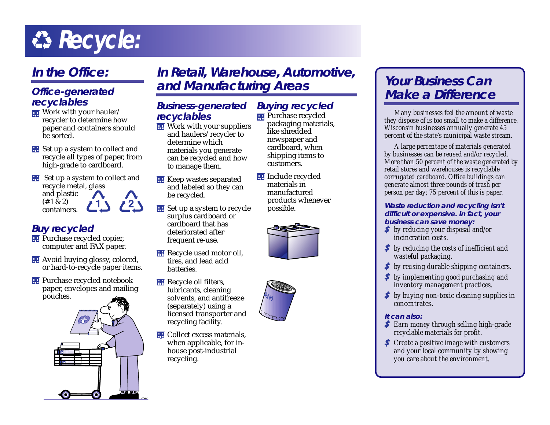# $R$  **Recycle:**

# **In the Office:**

### **Office-generated recyclables**

- **EX** Work with your hauler/ recycler to determine how paper and containers should be sorted.
- **H** Set up a system to collect and recycle all types of paper, from high-grade to cardboard.
- **EXECUTE:** Set up a system to collect and recycle metal, glass and plastic  $(# 1 \& 2)$  $\sqrt{2}$  $71<sub>S</sub>$ containers.

## **Buy recycled**

- **Purchase recycled copier,** computer and FAX paper.
- **H** Avoid buying glossy, colored, or hard-to-recycle paper items.
- **Purchase recycled notebook** paper, envelopes and mailing pouches.



## **In Retail, Warehouse, Automotive, and Manufacturing Areas Your Business Can**

### **Business-generated recyclables**

- **EXECUTE:** Work with your suppliers and haulers/recycler to determine which materials you generate can be recycled and how to manage them.
- **H** Keep wastes separated and labeled so they can be recycled.
- **B** Set up a system to recycle surplus cardboard or cardboard that has deteriorated after frequent re-use.
- **Recycle used motor oil,** tires, and lead acid batteries.
- **Recycle oil filters,** lubricants, cleaning solvents, and antifreeze (separately) using a licensed transporter and recycling facility.
- **H** Collect excess materials, when applicable, for inhouse post-industrial recycling.

#### **Buying recycled Purchase recycled**

- packaging materials, like shredded newspaper and cardboard, when shipping items to customers.
- **H** Include recycled materials in manufactured products whenever possible.



# **Make a Difference**

*Many businesses feel the amount of waste they dispose of is too small to make a difference. Wisconsin businesses annually generate 45 percent of the state's municipal waste stream.*

*A large percentage of materials generated by businesses can be reused and/or recycled. More than 50 percent of the waste generated by retail stores and warehouses is recyclable corrugated cardboard. Office buildings can generate almost three pounds of trash per person per day; 75 percent of this is paper.*

#### **Waste reduction and recycling isn't difficult or expensive. In fact, your business can save money:**

- *by reducing your disposal and/or incineration costs.*
- *by reducing the costs of inefficient and wasteful packaging.*
- *by reusing durable shipping containers.*
- *by implementing good purchasing and inventory management practices.*
- *by buying non-toxic cleaning supplies in concentrate*s.

#### **It can also:**

- *Earn money through selling high-grade recyclable materials for profit.*
- *Create a positive image with customers and your local community by showing you care about the environment.*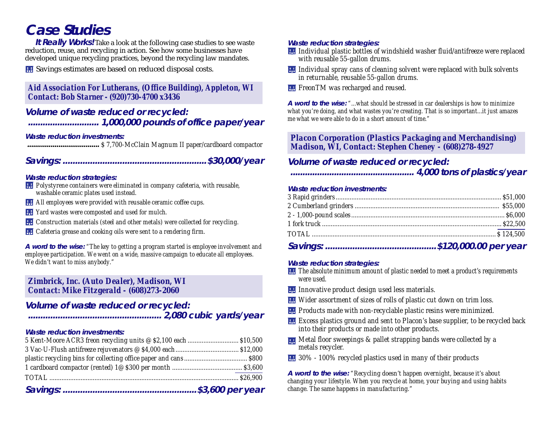# **Case Studies**

**It Really Works!** Take a look at the following case studies to see waste reduction, reuse, and recycling in action. See how some businesses have developed unique recycling practices, beyond the recycling law mandates.

**H** Savings estimates are based on reduced disposal costs.

#### *Aid Association For Lutherans, (Office Building), Appleton, WI Contact: Bob Starner - (920)730-4700 x3436*

**Volume of waste reduced or recycled: ............................. 1,000,000 pounds of office paper/year**

#### **Waste reduction investments:**

**.....................................** *\$ 7,700-McClain Magnum II paper/cardboard compactor*

### **Savings: ..........................................................\$30,000/year**

#### **Waste reduction strategies:**

- *Polystyrene containers were eliminated in company cafeteria, with reusable, washable ceramic plates used instead.*
- *All employees were provided with reusable ceramic coffee cups.*
- *Yard wastes were composted and used for mulch.*
- *Construction materials (steel and other metals) were collected for recycling.*
- *Cafeteria grease and cooking oils were sent to a rendering firm.*

**A word to the wise:** *"The key to getting a program started is employee involvement and employee participation. We went on a wide, massive campaign to educate all employees. We didn't want to miss anybody."*

#### *Zimbrick, Inc. (Auto Dealer), Madison, WI Contact: Mike Fitzgerald - (608)273-2060*

### **Volume of waste reduced or recycled:**

**...................................................... 2,080 cubic yards/year**

#### **Waste reduction investments:**

#### **Waste reduction strategies:**

- *Individual plastic bottles of windshield washer fluid/antifreeze were replaced with reusable 55-gallon drums.*
- *Individual spray cans of cleaning solvent were replaced with bulk solvents in returnable, reusable 55-gallon drums.*
- **FRE** FreonTM was recharged and reused.

**A word to the wise:** *"...what should be stressed in car dealerships is how to minimize what you're doing, and what wastes you're creating. That is so important...it just amazes me what we were able to do in a short amount of time."*

*Placon Corporation (Plastics Packaging and Merchandising) Madison, WI, Contact: Stephen Cheney - (608)278-4927*

#### **Volume of waste reduced or recycled:**

#### **................................................... 4,000 tons of plastics/year**

#### **Waste reduction investments:**

#### **Waste reduction strategies:**

- *The absolute minimum amount of plastic needed to meet a product's requirements were used.*
- *Innovative product design used less materials.*
- *Wider assortment of sizes of rolls of plastic cut down on trim loss.*
- *Products made with non-recyclable plastic resins were minimized.*
- *Excess plastics ground and sent to Placon's base supplier, to be recycled back into their products or made into other products.*
- *Metal floor sweepings & pallet strapping bands were collected by a metals recycler.*
- *30% 100% recycled plastics used in many of their products*

**A word to the wise:** *"Recycling doesn't happen overnight, because it's about changing your lifestyle. When you recycle at home, your buying and using habits change. The same happens in manufacturing."*